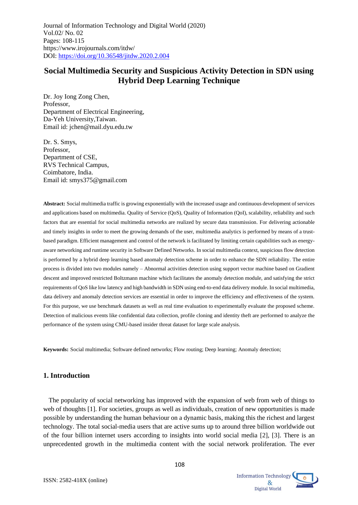# **Social Multimedia Security and Suspicious Activity Detection in SDN using Hybrid Deep Learning Technique**

Dr. Joy Iong Zong Chen, Professor, Department of Electrical Engineering, Da-Yeh University,Taiwan. Email id: [jchen@mail.dyu.edu.tw](mailto:jchen@mail.dyu.edu.tw)

Dr. S. Smys, Professor, Department of CSE, RVS Technical Campus, Coimbatore, India. Email id: smys375@gmail.com

**Abstract:** Social multimedia traffic is growing exponentially with the increased usage and continuous development of services and applications based on multimedia. Quality of Service (QoS), Quality of Information (QoI), scalability, reliability and such factors that are essential for social multimedia networks are realized by secure data transmission. For delivering actionable and timely insights in order to meet the growing demands of the user, multimedia analytics is performed by means of a trustbased paradigm. Efficient management and control of the network is facilitated by limiting certain capabilities such as energyaware networking and runtime security in Software Defined Networks. In social multimedia context, suspicious flow detection is performed by a hybrid deep learning based anomaly detection scheme in order to enhance the SDN reliability. The entire process is divided into two modules namely – Abnormal activities detection using support vector machine based on Gradient descent and improved restricted Boltzmann machine which facilitates the anomaly detection module, and satisfying the strict requirements of QoS like low latency and high bandwidth in SDN using end-to-end data delivery module. In social multimedia, data delivery and anomaly detection services are essential in order to improve the efficiency and effectiveness of the system. For this purpose, we use benchmark datasets as well as real time evaluation to experimentally evaluate the proposed scheme. Detection of malicious events like confidential data collection, profile cloning and identity theft are performed to analyze the performance of the system using CMU-based insider threat dataset for large scale analysis.

**Keywords:** Social multimedia; Software defined networks; Flow routing; Deep learning; Anomaly detection;

## **1. Introduction**

The popularity of social networking has improved with the expansion of web from web of things to web of thoughts [1]. For societies, groups as well as individuals, creation of new opportunities is made possible by understanding the human behaviour on a dynamic basis, making this the richest and largest technology. The total social-media users that are active sums up to around three billion worldwide out of the four billion internet users according to insights into world social media [2], [3]. There is an unprecedented growth in the multimedia content with the social network proliferation. The ever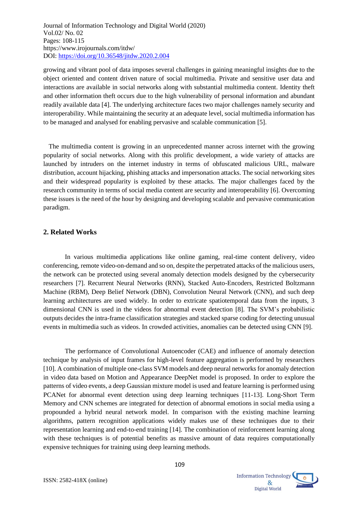growing and vibrant pool of data imposes several challenges in gaining meaningful insights due to the object oriented and content driven nature of social multimedia. Private and sensitive user data and interactions are available in social networks along with substantial multimedia content. Identity theft and other information theft occurs due to the high vulnerability of personal information and abundant readily available data [4]. The underlying architecture faces two major challenges namely security and interoperability. While maintaining the security at an adequate level, social multimedia information has to be managed and analysed for enabling pervasive and scalable communication [5].

The multimedia content is growing in an unprecedented manner across internet with the growing popularity of social networks. Along with this prolific development, a wide variety of attacks are launched by intruders on the internet industry in terms of obfuscated malicious URL, malware distribution, account hijacking, phishing attacks and impersonation attacks. The social networking sites and their widespread popularity is exploited by these attacks. The major challenges faced by the research community in terms of social media content are security and interoperability [6]. Overcoming these issues is the need of the hour by designing and developing scalable and pervasive communication paradigm.

#### **2. Related Works**

In various multimedia applications like online gaming, real-time content delivery, video conferencing, remote video-on-demand and so on, despite the perpetrated attacks of the malicious users, the network can be protected using several anomaly detection models designed by the cybersecurity researchers [7]. Recurrent Neural Networks (RNN), Stacked Auto-Encoders, Restricted Boltzmann Machine (RBM), Deep Belief Network (DBN), Convolution Neural Network (CNN), and such deep learning architectures are used widely. In order to extricate spatiotemporal data from the inputs, 3 dimensional CNN is used in the videos for abnormal event detection [8]. The SVM's probabilistic outputs decides the intra-frame classification strategies and stacked sparse coding for detecting unusual events in multimedia such as videos. In crowded activities, anomalies can be detected using CNN [9].

The performance of Convolutional Autoencoder (CAE) and influence of anomaly detection technique by analysis of input frames for high-level feature aggregation is performed by researchers [10]. A combination of multiple one-class SVM models and deep neural networks for anomaly detection in video data based on Motion and Appearance DeepNet model is proposed. In order to explore the patterns of video events, a deep Gaussian mixture model is used and feature learning is performed using PCANet for abnormal event detection using deep learning techniques [11-13]. Long-Short Term Memory and CNN schemes are integrated for detection of abnormal emotions in social media using a propounded a hybrid neural network model. In comparison with the existing machine learning algorithms, pattern recognition applications widely makes use of these techniques due to their representation learning and end-to-end training [14]. The combination of reinforcement learning along with these techniques is of potential benefits as massive amount of data requires computationally expensive techniques for training using deep learning methods.

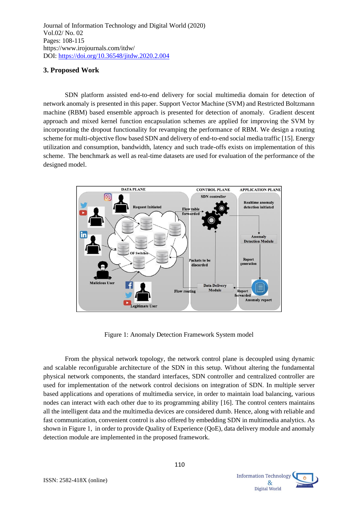## **3. Proposed Work**

SDN platform assisted end-to-end delivery for social multimedia domain for detection of network anomaly is presented in this paper. Support Vector Machine (SVM) and Restricted Boltzmann machine (RBM) based ensemble approach is presented for detection of anomaly. Gradient descent approach and mixed kernel function encapsulation schemes are applied for improving the SVM by incorporating the dropout functionality for revamping the performance of RBM. We design a routing scheme for multi-objective flow based SDN and delivery of end-to-end social media traffic [15]. Energy utilization and consumption, bandwidth, latency and such trade-offs exists on implementation of this scheme. The benchmark as well as real-time datasets are used for evaluation of the performance of the designed model.



Figure 1: Anomaly Detection Framework System model

From the physical network topology, the network control plane is decoupled using dynamic and scalable reconfigurable architecture of the SDN in this setup. Without altering the fundamental physical network components, the standard interfaces, SDN controller and centralized controller are used for implementation of the network control decisions on integration of SDN. In multiple server based applications and operations of multimedia service, in order to maintain load balancing, various nodes can interact with each other due to its programming ability [16]. The control centers maintains all the intelligent data and the multimedia devices are considered dumb. Hence, along with reliable and fast communication, convenient control is also offered by embedding SDN in multimedia analytics. As shown in Figure 1, in order to provide Quality of Experience (QoE), data delivery module and anomaly detection module are implemented in the proposed framework.

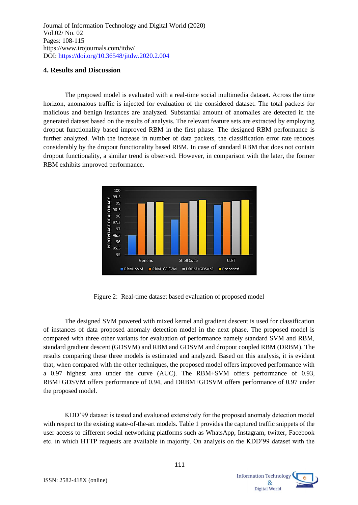#### **4. Results and Discussion**

The proposed model is evaluated with a real-time social multimedia dataset. Across the time horizon, anomalous traffic is injected for evaluation of the considered dataset. The total packets for malicious and benign instances are analyzed. Substantial amount of anomalies are detected in the generated dataset based on the results of analysis. The relevant feature sets are extracted by employing dropout functionality based improved RBM in the first phase. The designed RBM performance is further analyzed. With the increase in number of data packets, the classification error rate reduces considerably by the dropout functionality based RBM. In case of standard RBM that does not contain dropout functionality, a similar trend is observed. However, in comparison with the later, the former RBM exhibits improved performance.



Figure 2: Real-time dataset based evaluation of proposed model

The designed SVM powered with mixed kernel and gradient descent is used for classification of instances of data proposed anomaly detection model in the next phase. The proposed model is compared with three other variants for evaluation of performance namely standard SVM and RBM, standard gradient descent (GDSVM) and RBM and GDSVM and dropout coupled RBM (DRBM). The results comparing these three models is estimated and analyzed. Based on this analysis, it is evident that, when compared with the other techniques, the proposed model offers improved performance with a 0.97 highest area under the curve (AUC). The RBM+SVM offers performance of 0.93, RBM+GDSVM offers performance of 0.94, and DRBM+GDSVM offers performance of 0.97 under the proposed model.

KDD'99 dataset is tested and evaluated extensively for the proposed anomaly detection model with respect to the existing state-of-the-art models. Table 1 provides the captured traffic snippets of the user access to different social networking platforms such as WhatsApp, Instagram, twitter, Facebook etc. in which HTTP requests are available in majority. On analysis on the KDD'99 dataset with the

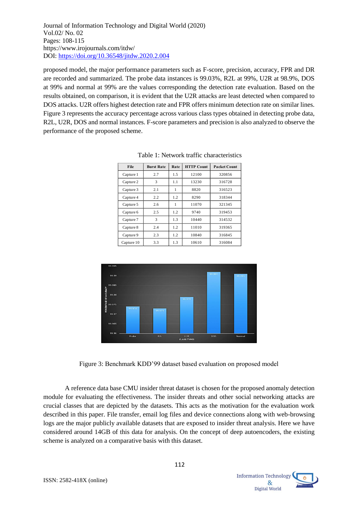proposed model, the major performance parameters such as F-score, precision, accuracy, FPR and DR are recorded and summarized. The probe data instances is 99.03%, R2L at 99%, U2R at 98.9%, DOS at 99% and normal at 99% are the values corresponding the detection rate evaluation. Based on the results obtained, on comparison, it is evident that the U2R attacks are least detected when compared to DOS attacks. U2R offers highest detection rate and FPR offers minimum detection rate on similar lines. Figure 3 represents the accuracy percentage across various class types obtained in detecting probe data, R2L, U2R, DOS and normal instances. F-score parameters and precision is also analyzed to observe the performance of the proposed scheme.

| Table 1: Network traffic characteristics |                   |      |                   |                     |
|------------------------------------------|-------------------|------|-------------------|---------------------|
| File                                     | <b>Burst Rate</b> | Rate | <b>HTTP Count</b> | <b>Packet Count</b> |
| Capture 1                                | 2.7               | 1.5  | 12100             | 320856              |
| Capture 2                                | 3                 | 1.1  | 13230             | 316728              |
| Capture 3                                | 2.1               | 1    | 8820              | 316523              |
| Capture 4                                | 2.2               | 1.2  | 8290              | 318344              |
| Capture 5                                | 2.6               | 1    | 11070             | 321345              |
| Capture 6                                | 2.5               | 1.2  | 9740              | 319453              |
| Capture 7                                | 3                 | 1.3  | 10440             | 314532              |
| Capture 8                                | 2.4               | 1.2  | 11010             | 319365              |
| Capture 9                                | 2.3               | 1.2  | 10840             | 316845              |
| Capture 10                               | 3.3               | 1.3  | 10610             | 316084              |



Figure 3: Benchmark KDD'99 dataset based evaluation on proposed model

A reference data base CMU insider threat dataset is chosen for the proposed anomaly detection module for evaluating the effectiveness. The insider threats and other social networking attacks are crucial classes that are depicted by the datasets. This acts as the motivation for the evaluation work described in this paper. File transfer, email log files and device connections along with web-browsing logs are the major publicly available datasets that are exposed to insider threat analysis. Here we have considered around 14GB of this data for analysis. On the concept of deep autoencoders, the existing scheme is analyzed on a comparative basis with this dataset.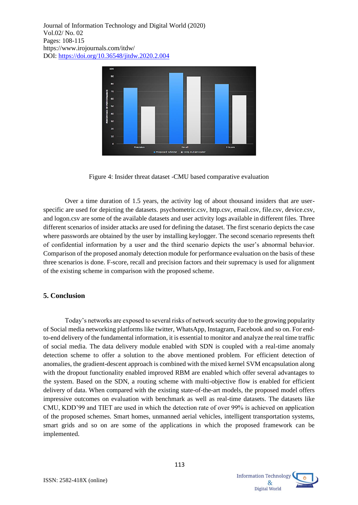

Figure 4: Insider threat dataset -CMU based comparative evaluation

Over a time duration of 1.5 years, the activity log of about thousand insiders that are userspecific are used for depicting the datasets. psychometric.csv, http.csv, email.csv, file.csv, device.csv, and logon.csv are some of the available datasets and user activity logs available in different files. Three different scenarios of insider attacks are used for defining the dataset. The first scenario depicts the case where passwords are obtained by the user by installing keylogger. The second scenario represents theft of confidential information by a user and the third scenario depicts the user's abnormal behavior. Comparison of the proposed anomaly detection module for performance evaluation on the basis of these three scenarios is done. F-score, recall and precision factors and their supremacy is used for alignment of the existing scheme in comparison with the proposed scheme.

#### **5. Conclusion**

Today's networks are exposed to several risks of network security due to the growing popularity of Social media networking platforms like twitter, WhatsApp, Instagram, Facebook and so on. For endto-end delivery of the fundamental information, it is essential to monitor and analyze the real time traffic of social media. The data delivery module enabled with SDN is coupled with a real-time anomaly detection scheme to offer a solution to the above mentioned problem. For efficient detection of anomalies, the gradient-descent approach is combined with the mixed kernel SVM encapsulation along with the dropout functionality enabled improved RBM are enabled which offer several advantages to the system. Based on the SDN, a routing scheme with multi-objective flow is enabled for efficient delivery of data. When compared with the existing state-of-the-art models, the proposed model offers impressive outcomes on evaluation with benchmark as well as real-time datasets. The datasets like CMU, KDD'99 and TIET are used in which the detection rate of over 99% is achieved on application of the proposed schemes. Smart homes, unmanned aerial vehicles, intelligent transportation systems, smart grids and so on are some of the applications in which the proposed framework can be implemented.

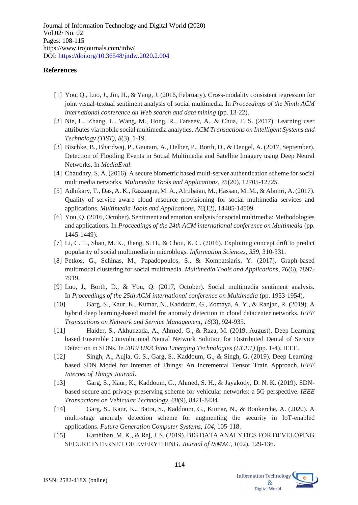#### **References**

- [1] You, Q., Luo, J., Jin, H., & Yang, J. (2016, February). Cross-modality consistent regression for joint visual-textual sentiment analysis of social multimedia. In *Proceedings of the Ninth ACM international conference on Web search and data mining* (pp. 13-22).
- [2] Nie, L., Zhang, L., Wang, M., Hong, R., Farseev, A., & Chua, T. S. (2017). Learning user attributes via mobile social multimedia analytics. *ACM Transactions on Intelligent Systems and Technology (TIST)*, *8*(3), 1-19.
- [3] Bischke, B., Bhardwaj, P., Gautam, A., Helber, P., Borth, D., & Dengel, A. (2017, September). Detection of Flooding Events in Social Multimedia and Satellite Imagery using Deep Neural Networks. In *MediaEval*.
- [4] Chaudhry, S. A. (2016). A secure biometric based multi-server authentication scheme for social multimedia networks. *Multimedia Tools and Applications*, *75*(20), 12705-12725.
- [5] Adhikary, T., Das, A. K., Razzaque, M. A., Alrubaian, M., Hassan, M. M., & Alamri, A. (2017). Quality of service aware cloud resource provisioning for social multimedia services and applications. *Multimedia Tools and Applications*, *76*(12), 14485-14509.
- [6] You, Q. (2016, October). Sentiment and emotion analysis for social multimedia: Methodologies and applications. In *Proceedings of the 24th ACM international conference on Multimedia* (pp. 1445-1449).
- [7] Li, C. T., Shan, M. K., Jheng, S. H., & Chou, K. C. (2016). Exploiting concept drift to predict popularity of social multimedia in microblogs. *Information Sciences*, *339*, 310-331.
- [8] Petkos, G., Schinas, M., Papadopoulos, S., & Kompatsiaris, Y. (2017). Graph-based multimodal clustering for social multimedia. *Multimedia Tools and Applications*, *76*(6), 7897- 7919.
- [9] Luo, J., Borth, D., & You, Q. (2017, October). Social multimedia sentiment analysis. In *Proceedings of the 25th ACM international conference on Multimedia* (pp. 1953-1954).
- [10] Garg, S., Kaur, K., Kumar, N., Kaddoum, G., Zomaya, A. Y., & Ranjan, R. (2019). A hybrid deep learning-based model for anomaly detection in cloud datacenter networks. *IEEE Transactions on Network and Service Management*, *16*(3), 924-935.
- [11] Haider, S., Akhunzada, A., Ahmed, G., & Raza, M. (2019, August). Deep Learning based Ensemble Convolutional Neural Network Solution for Distributed Denial of Service Detection in SDNs. In *2019 UK/China Emerging Technologies (UCET)* (pp. 1-4). IEEE.
- [12] Singh, A., Aujla, G. S., Garg, S., Kaddoum, G., & Singh, G. (2019). Deep Learningbased SDN Model for Internet of Things: An Incremental Tensor Train Approach. *IEEE Internet of Things Journal*.
- [13] Garg, S., Kaur, K., Kaddoum, G., Ahmed, S. H., & Jayakody, D. N. K. (2019). SDNbased secure and privacy-preserving scheme for vehicular networks: a 5G perspective. *IEEE Transactions on Vehicular Technology*, *68*(9), 8421-8434.
- [14] Garg, S., Kaur, K., Batra, S., Kaddoum, G., Kumar, N., & Boukerche, A. (2020). A multi-stage anomaly detection scheme for augmenting the security in IoT-enabled applications. *Future Generation Computer Systems*, *104*, 105-118.
- [15] Karthiban, M. K., & Raj, J. S. (2019). BIG DATA ANALYTICS FOR DEVELOPING SECURE INTERNET OF EVERYTHING. *Journal of ISMAC*, *1*(02), 129-136.